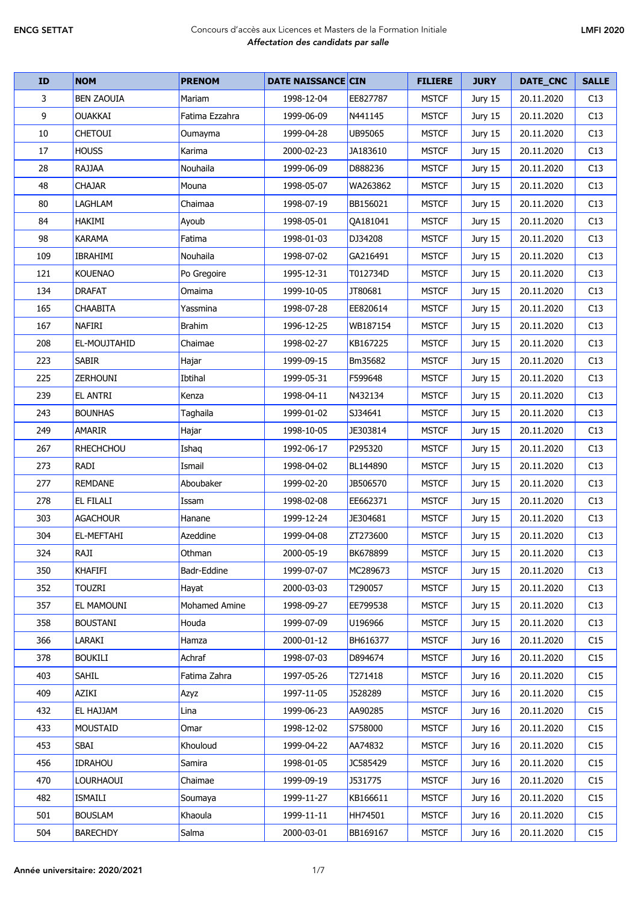| <b>ID</b> | <b>NOM</b>        | <b>PRENOM</b>  | <b>DATE NAISSANCE CIN</b> |                 | <b>FILIERE</b> | <b>JURY</b> | DATE_CNC   | <b>SALLE</b> |
|-----------|-------------------|----------------|---------------------------|-----------------|----------------|-------------|------------|--------------|
| 3         | <b>BEN ZAOUIA</b> | Mariam         | 1998-12-04                | EE827787        | <b>MSTCF</b>   | Jury 15     | 20.11.2020 | C13          |
| 9         | <b>OUAKKAI</b>    | Fatima Ezzahra | 1999-06-09                | N441145         | <b>MSTCF</b>   | Jury 15     | 20.11.2020 | C13          |
| 10        | <b>CHETOUI</b>    | Oumayma        | 1999-04-28                | <b>UB95065</b>  | <b>MSTCF</b>   | Jury 15     | 20.11.2020 | C13          |
| 17        | <b>HOUSS</b>      | Karima         | 2000-02-23                | JA183610        | <b>MSTCF</b>   | Jury 15     | 20.11.2020 | C13          |
| 28        | RAJJAA            | Nouhaila       | 1999-06-09                | D888236         | <b>MSTCF</b>   | Jury 15     | 20.11.2020 | C13          |
| 48        | CHAJAR            | Mouna          | 1998-05-07                | WA263862        | <b>MSTCF</b>   | Jury 15     | 20.11.2020 | C13          |
| 80        | LAGHLAM           | Chaimaa        | 1998-07-19                | BB156021        | <b>MSTCF</b>   | Jury 15     | 20.11.2020 | C13          |
| 84        | HAKIMI            | Ayoub          | 1998-05-01                | QA181041        | <b>MSTCF</b>   | Jury 15     | 20.11.2020 | C13          |
| 98        | <b>KARAMA</b>     | Fatima         | 1998-01-03                | DJ34208         | <b>MSTCF</b>   | Jury 15     | 20.11.2020 | C13          |
| 109       | <b>IBRAHIMI</b>   | Nouhaila       | 1998-07-02                | GA216491        | <b>MSTCF</b>   | Jury 15     | 20.11.2020 | C13          |
| 121       | <b>KOUENAO</b>    | Po Gregoire    | 1995-12-31                | T012734D        | <b>MSTCF</b>   | Jury 15     | 20.11.2020 | C13          |
| 134       | <b>DRAFAT</b>     | Omaima         | 1999-10-05                | JT80681         | <b>MSTCF</b>   | Jury 15     | 20.11.2020 | C13          |
| 165       | <b>CHAABITA</b>   | Yassmina       | 1998-07-28                | EE820614        | <b>MSTCF</b>   | Jury 15     | 20.11.2020 | C13          |
| 167       | <b>NAFIRI</b>     | <b>Brahim</b>  | 1996-12-25                | WB187154        | <b>MSTCF</b>   | Jury 15     | 20.11.2020 | C13          |
| 208       | EL-MOUJTAHID      | Chaimae        | 1998-02-27                | KB167225        | <b>MSTCF</b>   | Jury 15     | 20.11.2020 | C13          |
| 223       | <b>SABIR</b>      | Hajar          | 1999-09-15                | Bm35682         | <b>MSTCF</b>   | Jury 15     | 20.11.2020 | C13          |
| 225       | ZERHOUNI          | Ibtihal        | 1999-05-31                | F599648         | <b>MSTCF</b>   | Jury 15     | 20.11.2020 | C13          |
| 239       | <b>EL ANTRI</b>   | Kenza          | 1998-04-11                | N432134         | <b>MSTCF</b>   | Jury 15     | 20.11.2020 | C13          |
| 243       | <b>BOUNHAS</b>    | Taghaila       | 1999-01-02                | SJ34641         | <b>MSTCF</b>   | Jury 15     | 20.11.2020 | C13          |
| 249       | <b>AMARIR</b>     | Hajar          | 1998-10-05                | JE303814        | <b>MSTCF</b>   | Jury 15     | 20.11.2020 | C13          |
| 267       | <b>RHECHCHOU</b>  | Ishaq          | 1992-06-17                | P295320         | <b>MSTCF</b>   | Jury 15     | 20.11.2020 | C13          |
| 273       | RADI              | Ismail         | 1998-04-02                | BL144890        | <b>MSTCF</b>   | Jury 15     | 20.11.2020 | C13          |
| 277       | <b>REMDANE</b>    | Aboubaker      | 1999-02-20                | JB506570        | <b>MSTCF</b>   | Jury 15     | 20.11.2020 | C13          |
| 278       | EL FILALI         | Issam          | 1998-02-08                | EE662371        | <b>MSTCF</b>   | Jury 15     | 20.11.2020 | C13          |
| 303       | <b>AGACHOUR</b>   | Hanane         | 1999-12-24                | JE304681        | <b>MSTCF</b>   | Jury 15     | 20.11.2020 | C13          |
| 304       | EL-MEFTAHI        | Azeddine       | 1999-04-08                | ZT273600        | <b>MSTCF</b>   | Jury 15     | 20.11.2020 | C13          |
| 324       | RAJI              | Othman         | 2000-05-19                | <b>BK678899</b> | <b>MSTCF</b>   | Jury 15     | 20.11.2020 | C13          |
| 350       | KHAFIFI           | Badr-Eddine    | 1999-07-07                | MC289673        | <b>MSTCF</b>   | Jury 15     | 20.11.2020 | C13          |
| 352       | <b>TOUZRI</b>     | Hayat          | 2000-03-03                | T290057         | <b>MSTCF</b>   | Jury 15     | 20.11.2020 | C13          |
| 357       | <b>EL MAMOUNI</b> | Mohamed Amine  | 1998-09-27                | EE799538        | <b>MSTCF</b>   | Jury 15     | 20.11.2020 | C13          |
| 358       | <b>BOUSTANI</b>   | Houda          | 1999-07-09                | U196966         | <b>MSTCF</b>   | Jury 15     | 20.11.2020 | C13          |
| 366       | LARAKI            | Hamza          | 2000-01-12                | BH616377        | <b>MSTCF</b>   | Jury 16     | 20.11.2020 | C15          |
| 378       | <b>BOUKILI</b>    | Achraf         | 1998-07-03                | D894674         | <b>MSTCF</b>   | Jury 16     | 20.11.2020 | C15          |
| 403       | <b>SAHIL</b>      | Fatima Zahra   | 1997-05-26                | T271418         | <b>MSTCF</b>   | Jury 16     | 20.11.2020 | C15          |
| 409       | AZIKI             | Azyz           | 1997-11-05                | J528289         | <b>MSTCF</b>   | Jury 16     | 20.11.2020 | C15          |
| 432       | <b>EL HAJJAM</b>  | Lina           | 1999-06-23                | AA90285         | <b>MSTCF</b>   | Jury 16     | 20.11.2020 | C15          |
| 433       | <b>MOUSTAID</b>   | Omar           | 1998-12-02                | S758000         | <b>MSTCF</b>   | Jury 16     | 20.11.2020 | C15          |
| 453       | SBAI              | Khouloud       | 1999-04-22                | AA74832         | <b>MSTCF</b>   | Jury 16     | 20.11.2020 | C15          |
| 456       | <b>IDRAHOU</b>    | Samira         | 1998-01-05                | JC585429        | <b>MSTCF</b>   | Jury 16     | 20.11.2020 | C15          |
| 470       | LOURHAOUI         | Chaimae        | 1999-09-19                | J531775         | <b>MSTCF</b>   | Jury 16     | 20.11.2020 | C15          |
| 482       | ISMAILI           | Soumaya        | 1999-11-27                | KB166611        | <b>MSTCF</b>   | Jury 16     | 20.11.2020 | C15          |
| 501       | <b>BOUSLAM</b>    | Khaoula        | 1999-11-11                | HH74501         | <b>MSTCF</b>   | Jury 16     | 20.11.2020 | C15          |
| 504       | <b>BARECHDY</b>   | Salma          | 2000-03-01                | BB169167        | <b>MSTCF</b>   | Jury 16     | 20.11.2020 | C15          |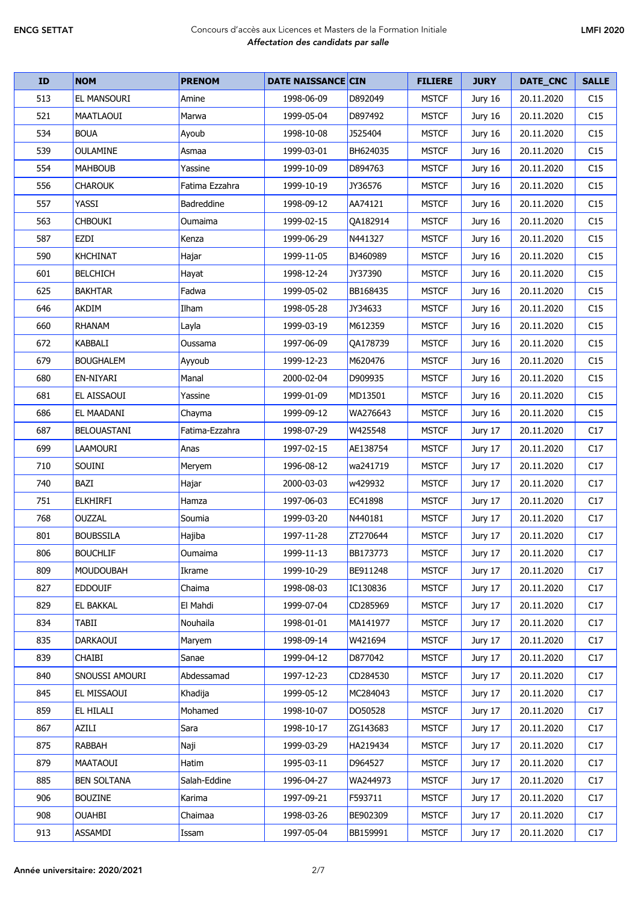| <b>ID</b> | <b>NOM</b>         | <b>PRENOM</b>  | <b>DATE NAISSANCE CIN</b> |          | <b>FILIERE</b> | <b>JURY</b> | DATE_CNC   | <b>SALLE</b> |
|-----------|--------------------|----------------|---------------------------|----------|----------------|-------------|------------|--------------|
| 513       | EL MANSOURI        | Amine          | 1998-06-09                | D892049  | <b>MSTCF</b>   | Jury 16     | 20.11.2020 | C15          |
| 521       | <b>MAATLAOUI</b>   | Marwa          | 1999-05-04                | D897492  | <b>MSTCF</b>   | Jury 16     | 20.11.2020 | C15          |
| 534       | <b>BOUA</b>        | Ayoub          | 1998-10-08                | J525404  | <b>MSTCF</b>   | Jury 16     | 20.11.2020 | C15          |
| 539       | <b>OULAMINE</b>    | Asmaa          | 1999-03-01                | BH624035 | <b>MSTCF</b>   | Jury 16     | 20.11.2020 | C15          |
| 554       | <b>MAHBOUB</b>     | Yassine        | 1999-10-09                | D894763  | <b>MSTCF</b>   | Jury 16     | 20.11.2020 | C15          |
| 556       | <b>CHAROUK</b>     | Fatima Ezzahra | 1999-10-19                | JY36576  | <b>MSTCF</b>   | Jury 16     | 20.11.2020 | C15          |
| 557       | YASSI              | Badreddine     | 1998-09-12                | AA74121  | <b>MSTCF</b>   | Jury 16     | 20.11.2020 | C15          |
| 563       | <b>CHBOUKI</b>     | Oumaima        | 1999-02-15                | QA182914 | <b>MSTCF</b>   | Jury 16     | 20.11.2020 | C15          |
| 587       | EZDI               | Kenza          | 1999-06-29                | N441327  | <b>MSTCF</b>   | Jury 16     | 20.11.2020 | C15          |
| 590       | <b>KHCHINAT</b>    | Hajar          | 1999-11-05                | BJ460989 | <b>MSTCF</b>   | Jury 16     | 20.11.2020 | C15          |
| 601       | <b>BELCHICH</b>    | Hayat          | 1998-12-24                | JY37390  | <b>MSTCF</b>   | Jury 16     | 20.11.2020 | C15          |
| 625       | <b>BAKHTAR</b>     | Fadwa          | 1999-05-02                | BB168435 | <b>MSTCF</b>   | Jury 16     | 20.11.2020 | C15          |
| 646       | <b>AKDIM</b>       | Ilham          | 1998-05-28                | JY34633  | <b>MSTCF</b>   | Jury 16     | 20.11.2020 | C15          |
| 660       | <b>RHANAM</b>      | Layla          | 1999-03-19                | M612359  | <b>MSTCF</b>   | Jury 16     | 20.11.2020 | C15          |
| 672       | <b>KABBALI</b>     | Oussama        | 1997-06-09                | OA178739 | <b>MSTCF</b>   | Jury 16     | 20.11.2020 | C15          |
| 679       | <b>BOUGHALEM</b>   | Ayyoub         | 1999-12-23                | M620476  | <b>MSTCF</b>   | Jury 16     | 20.11.2020 | C15          |
| 680       | EN-NIYARI          | Manal          | 2000-02-04                | D909935  | <b>MSTCF</b>   | Jury 16     | 20.11.2020 | C15          |
| 681       | EL AISSAOUI        | Yassine        | 1999-01-09                | MD13501  | <b>MSTCF</b>   | Jury 16     | 20.11.2020 | C15          |
| 686       | EL MAADANI         | Chayma         | 1999-09-12                | WA276643 | <b>MSTCF</b>   | Jury 16     | 20.11.2020 | C15          |
| 687       | BELOUASTANI        | Fatima-Ezzahra | 1998-07-29                | W425548  | <b>MSTCF</b>   | Jury 17     | 20.11.2020 | C17          |
| 699       | <b>LAAMOURI</b>    | Anas           | 1997-02-15                | AE138754 | <b>MSTCF</b>   | Jury 17     | 20.11.2020 | C17          |
| 710       | SOUINI             | Meryem         | 1996-08-12                | wa241719 | <b>MSTCF</b>   | Jury 17     | 20.11.2020 | C17          |
| 740       | BAZI               | Hajar          | 2000-03-03                | w429932  | <b>MSTCF</b>   | Jury 17     | 20.11.2020 | C17          |
| 751       | <b>ELKHIRFI</b>    | Hamza          | 1997-06-03                | EC41898  | <b>MSTCF</b>   | Jury 17     | 20.11.2020 | C17          |
| 768       | OUZZAL             | Soumia         | 1999-03-20                | N440181  | <b>MSTCF</b>   | Jury 17     | 20.11.2020 | C17          |
| 801       | <b>BOUBSSILA</b>   | Hajiba         | 1997-11-28                | ZT270644 | <b>MSTCF</b>   | Jury 17     | 20.11.2020 | C17          |
| 806       | <b>BOUCHLIF</b>    | Oumaima        | 1999-11-13                | BB173773 | <b>MSTCF</b>   | Jury 17     | 20.11.2020 | C17          |
| 809       | <b>MOUDOUBAH</b>   | Ikrame         | 1999-10-29                | BE911248 | <b>MSTCF</b>   | Jury 17     | 20.11.2020 | C17          |
| 827       | <b>EDDOUIF</b>     | Chaima         | 1998-08-03                | IC130836 | <b>MSTCF</b>   | Jury 17     | 20.11.2020 | C17          |
| 829       | EL BAKKAL          | El Mahdi       | 1999-07-04                | CD285969 | <b>MSTCF</b>   | Jury 17     | 20.11.2020 | C17          |
| 834       | TABII              | Nouhaila       | 1998-01-01                | MA141977 | <b>MSTCF</b>   | Jury 17     | 20.11.2020 | C17          |
| 835       | <b>DARKAOUI</b>    | Maryem         | 1998-09-14                | W421694  | <b>MSTCF</b>   | Jury 17     | 20.11.2020 | C17          |
| 839       | <b>CHAIBI</b>      | Sanae          | 1999-04-12                | D877042  | <b>MSTCF</b>   | Jury 17     | 20.11.2020 | C17          |
| 840       | SNOUSSI AMOURI     | Abdessamad     | 1997-12-23                | CD284530 | <b>MSTCF</b>   | Jury 17     | 20.11.2020 | C17          |
| 845       | EL MISSAOUI        | Khadija        | 1999-05-12                | MC284043 | <b>MSTCF</b>   | Jury 17     | 20.11.2020 | C17          |
| 859       | EL HILALI          | Mohamed        | 1998-10-07                | DO50528  | <b>MSTCF</b>   | Jury 17     | 20.11.2020 | C17          |
| 867       | AZILI              | Sara           | 1998-10-17                | ZG143683 | <b>MSTCF</b>   | Jury 17     | 20.11.2020 | C17          |
| 875       | RABBAH             | Naji           | 1999-03-29                | HA219434 | <b>MSTCF</b>   | Jury 17     | 20.11.2020 | C17          |
| 879       | MAATAOUI           | Hatim          | 1995-03-11                | D964527  | <b>MSTCF</b>   | Jury 17     | 20.11.2020 | C17          |
| 885       | <b>BEN SOLTANA</b> | Salah-Eddine   | 1996-04-27                | WA244973 | <b>MSTCF</b>   | Jury 17     | 20.11.2020 | C17          |
| 906       | <b>BOUZINE</b>     | Karima         | 1997-09-21                | F593711  | <b>MSTCF</b>   | Jury 17     | 20.11.2020 | C17          |
| 908       | <b>OUAHBI</b>      | Chaimaa        | 1998-03-26                | BE902309 | <b>MSTCF</b>   | Jury 17     | 20.11.2020 | C17          |
| 913       | ASSAMDI            | Issam          | 1997-05-04                | BB159991 | <b>MSTCF</b>   | Jury 17     | 20.11.2020 | C17          |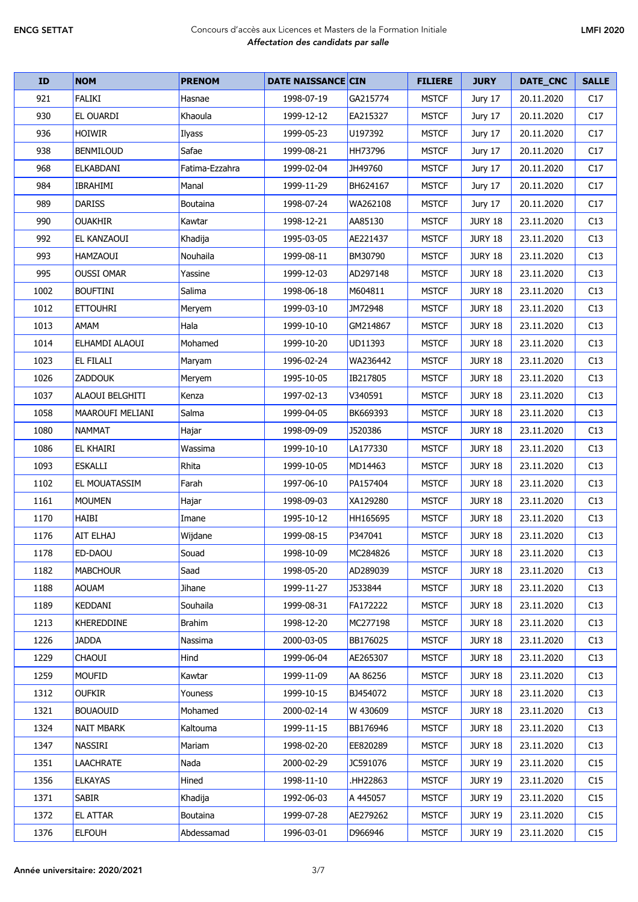| <b>ID</b> | <b>NOM</b>              | <b>PRENOM</b>  | <b>DATE NAISSANCE CIN</b> |          | <b>FILIERE</b> | <b>JURY</b>    | DATE_CNC   | <b>SALLE</b> |
|-----------|-------------------------|----------------|---------------------------|----------|----------------|----------------|------------|--------------|
| 921       | <b>FALIKI</b>           | Hasnae         | 1998-07-19                | GA215774 | <b>MSTCF</b>   | Jury 17        | 20.11.2020 | C17          |
| 930       | <b>EL OUARDI</b>        | Khaoula        | 1999-12-12                | EA215327 | <b>MSTCF</b>   | Jury 17        | 20.11.2020 | C17          |
| 936       | <b>HOIWIR</b>           | Ilyass         | 1999-05-23                | U197392  | <b>MSTCF</b>   | Jury 17        | 20.11.2020 | C17          |
| 938       | <b>BENMILOUD</b>        | Safae          | 1999-08-21                | HH73796  | <b>MSTCF</b>   | Jury 17        | 20.11.2020 | C17          |
| 968       | <b>ELKABDANI</b>        | Fatima-Ezzahra | 1999-02-04                | JH49760  | <b>MSTCF</b>   | Jury 17        | 20.11.2020 | C17          |
| 984       | <b>IBRAHIMI</b>         | Manal          | 1999-11-29                | BH624167 | <b>MSTCF</b>   | Jury 17        | 20.11.2020 | C17          |
| 989       | <b>DARISS</b>           | Boutaina       | 1998-07-24                | WA262108 | <b>MSTCF</b>   | Jury 17        | 20.11.2020 | C17          |
| 990       | <b>OUAKHIR</b>          | Kawtar         | 1998-12-21                | AA85130  | <b>MSTCF</b>   | JURY 18        | 23.11.2020 | C13          |
| 992       | EL KANZAOUI             | Khadija        | 1995-03-05                | AE221437 | <b>MSTCF</b>   | <b>JURY 18</b> | 23.11.2020 | C13          |
| 993       | <b>HAMZAOUI</b>         | Nouhaila       | 1999-08-11                | BM30790  | <b>MSTCF</b>   | <b>JURY 18</b> | 23.11.2020 | C13          |
| 995       | <b>OUSSI OMAR</b>       | Yassine        | 1999-12-03                | AD297148 | <b>MSTCF</b>   | <b>JURY 18</b> | 23.11.2020 | C13          |
| 1002      | <b>BOUFTINI</b>         | Salima         | 1998-06-18                | M604811  | <b>MSTCF</b>   | <b>JURY 18</b> | 23.11.2020 | C13          |
| 1012      | <b>ETTOUHRI</b>         | Meryem         | 1999-03-10                | JM72948  | <b>MSTCF</b>   | <b>JURY 18</b> | 23.11.2020 | C13          |
| 1013      | AMAM                    | Hala           | 1999-10-10                | GM214867 | <b>MSTCF</b>   | JURY 18        | 23.11.2020 | C13          |
| 1014      | ELHAMDI ALAOUI          | Mohamed        | 1999-10-20                | UD11393  | <b>MSTCF</b>   | <b>JURY 18</b> | 23.11.2020 | C13          |
| 1023      | <b>EL FILALI</b>        | Maryam         | 1996-02-24                | WA236442 | <b>MSTCF</b>   | JURY 18        | 23.11.2020 | C13          |
| 1026      | <b>ZADDOUK</b>          | Meryem         | 1995-10-05                | IB217805 | <b>MSTCF</b>   | <b>JURY 18</b> | 23.11.2020 | C13          |
| 1037      | <b>ALAOUI BELGHITI</b>  | Kenza          | 1997-02-13                | V340591  | <b>MSTCF</b>   | <b>JURY 18</b> | 23.11.2020 | C13          |
| 1058      | <b>MAAROUFI MELIANI</b> | Salma          | 1999-04-05                | BK669393 | <b>MSTCF</b>   | JURY 18        | 23.11.2020 | C13          |
| 1080      | <b>NAMMAT</b>           | Hajar          | 1998-09-09                | J520386  | <b>MSTCF</b>   | <b>JURY 18</b> | 23.11.2020 | C13          |
| 1086      | <b>EL KHAIRI</b>        | Wassima        | 1999-10-10                | LA177330 | <b>MSTCF</b>   | JURY 18        | 23.11.2020 | C13          |
| 1093      | <b>ESKALLI</b>          | Rhita          | 1999-10-05                | MD14463  | <b>MSTCF</b>   | <b>JURY 18</b> | 23.11.2020 | C13          |
| 1102      | <b>EL MOUATASSIM</b>    | Farah          | 1997-06-10                | PA157404 | <b>MSTCF</b>   | <b>JURY 18</b> | 23.11.2020 | C13          |
| 1161      | <b>MOUMEN</b>           | Hajar          | 1998-09-03                | XA129280 | <b>MSTCF</b>   | <b>JURY 18</b> | 23.11.2020 | C13          |
| 1170      | <b>HAIBI</b>            | Imane          | 1995-10-12                | HH165695 | <b>MSTCF</b>   | <b>JURY 18</b> | 23.11.2020 | C13          |
| 1176      | <b>AIT ELHAJ</b>        | Wijdane        | 1999-08-15                | P347041  | <b>MSTCF</b>   | JURY 18        | 23.11.2020 | C13          |
| 1178      | ED-DAOU                 | Souad          | 1998-10-09                | MC284826 | <b>MSTCF</b>   | <b>JURY 18</b> | 23.11.2020 | C13          |
| 1182      | <b>MABCHOUR</b>         | Saad           | 1998-05-20                | AD289039 | <b>MSTCF</b>   | <b>JURY 18</b> | 23.11.2020 | C13          |
| 1188      | <b>AOUAM</b>            | Jihane         | 1999-11-27                | J533844  | <b>MSTCF</b>   | <b>JURY 18</b> | 23.11.2020 | C13          |
| 1189      | <b>KEDDANI</b>          | Souhaila       | 1999-08-31                | FA172222 | <b>MSTCF</b>   | JURY 18        | 23.11.2020 | C13          |
| 1213      | KHEREDDINE              | Brahim         | 1998-12-20                | MC277198 | <b>MSTCF</b>   | <b>JURY 18</b> | 23.11.2020 | C13          |
| 1226      | <b>JADDA</b>            | Nassima        | 2000-03-05                | BB176025 | <b>MSTCF</b>   | JURY 18        | 23.11.2020 | C13          |
| 1229      | <b>CHAOUI</b>           | Hind           | 1999-06-04                | AE265307 | <b>MSTCF</b>   | <b>JURY 18</b> | 23.11.2020 | C13          |
| 1259      | <b>MOUFID</b>           | Kawtar         | 1999-11-09                | AA 86256 | <b>MSTCF</b>   | JURY 18        | 23.11.2020 | C13          |
| 1312      | <b>OUFKIR</b>           | Youness        | 1999-10-15                | BJ454072 | <b>MSTCF</b>   | <b>JURY 18</b> | 23.11.2020 | C13          |
| 1321      | <b>BOUAOUID</b>         | Mohamed        | 2000-02-14                | W 430609 | <b>MSTCF</b>   | <b>JURY 18</b> | 23.11.2020 | C13          |
| 1324      | <b>NAIT MBARK</b>       | Kaltouma       | 1999-11-15                | BB176946 | <b>MSTCF</b>   | <b>JURY 18</b> | 23.11.2020 | C13          |
| 1347      | NASSIRI                 | Mariam         | 1998-02-20                | EE820289 | <b>MSTCF</b>   | <b>JURY 18</b> | 23.11.2020 | C13          |
| 1351      | <b>LAACHRATE</b>        | Nada           | 2000-02-29                | JC591076 | <b>MSTCF</b>   | <b>JURY 19</b> | 23.11.2020 | C15          |
| 1356      | <b>ELKAYAS</b>          | Hined          | 1998-11-10                | .HH22863 | <b>MSTCF</b>   | <b>JURY 19</b> | 23.11.2020 | C15          |
| 1371      | <b>SABIR</b>            | Khadija        | 1992-06-03                | A 445057 | <b>MSTCF</b>   | <b>JURY 19</b> | 23.11.2020 | C15          |
| 1372      | EL ATTAR                | Boutaina       | 1999-07-28                | AE279262 | <b>MSTCF</b>   | <b>JURY 19</b> | 23.11.2020 | C15          |
| 1376      | <b>ELFOUH</b>           | Abdessamad     | 1996-03-01                | D966946  | <b>MSTCF</b>   | <b>JURY 19</b> | 23.11.2020 | C15          |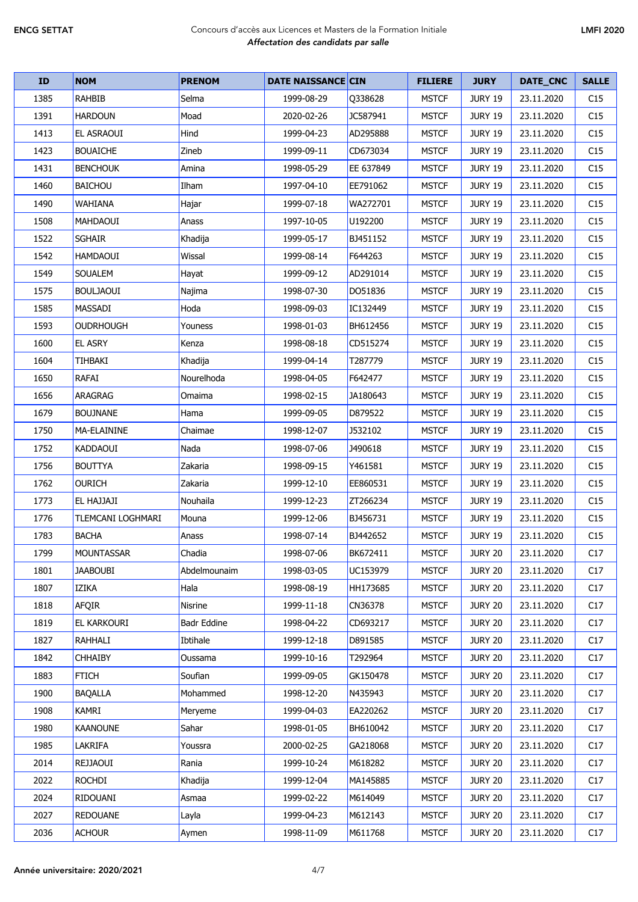| <b>ID</b> | <b>NOM</b>        | <b>PRENOM</b>      | <b>DATE NAISSANCE CIN</b> |           | <b>FILIERE</b> | <b>JURY</b>    | DATE_CNC   | <b>SALLE</b> |
|-----------|-------------------|--------------------|---------------------------|-----------|----------------|----------------|------------|--------------|
| 1385      | <b>RAHBIB</b>     | Selma              | 1999-08-29                | Q338628   | <b>MSTCF</b>   | <b>JURY 19</b> | 23.11.2020 | C15          |
| 1391      | <b>HARDOUN</b>    | Moad               | 2020-02-26                | JC587941  | <b>MSTCF</b>   | <b>JURY 19</b> | 23.11.2020 | C15          |
| 1413      | EL ASRAOUI        | Hind               | 1999-04-23                | AD295888  | <b>MSTCF</b>   | <b>JURY 19</b> | 23.11.2020 | C15          |
| 1423      | <b>BOUAICHE</b>   | Zineb              | 1999-09-11                | CD673034  | <b>MSTCF</b>   | <b>JURY 19</b> | 23.11.2020 | C15          |
| 1431      | <b>BENCHOUK</b>   | Amina              | 1998-05-29                | EE 637849 | <b>MSTCF</b>   | <b>JURY 19</b> | 23.11.2020 | C15          |
| 1460      | <b>BAICHOU</b>    | Ilham              | 1997-04-10                | EE791062  | <b>MSTCF</b>   | <b>JURY 19</b> | 23.11.2020 | C15          |
| 1490      | WAHIANA           | Hajar              | 1999-07-18                | WA272701  | <b>MSTCF</b>   | <b>JURY 19</b> | 23.11.2020 | C15          |
| 1508      | MAHDAOUI          | Anass              | 1997-10-05                | U192200   | <b>MSTCF</b>   | <b>JURY 19</b> | 23.11.2020 | C15          |
| 1522      | SGHAIR            | Khadija            | 1999-05-17                | BJ451152  | <b>MSTCF</b>   | <b>JURY 19</b> | 23.11.2020 | C15          |
| 1542      | HAMDAOUI          | Wissal             | 1999-08-14                | F644263   | <b>MSTCF</b>   | <b>JURY 19</b> | 23.11.2020 | C15          |
| 1549      | SOUALEM           | Hayat              | 1999-09-12                | AD291014  | <b>MSTCF</b>   | <b>JURY 19</b> | 23.11.2020 | C15          |
| 1575      | <b>BOULJAOUI</b>  | Najima             | 1998-07-30                | DO51836   | <b>MSTCF</b>   | <b>JURY 19</b> | 23.11.2020 | C15          |
| 1585      | MASSADI           | Hoda               | 1998-09-03                | IC132449  | <b>MSTCF</b>   | <b>JURY 19</b> | 23.11.2020 | C15          |
| 1593      | <b>OUDRHOUGH</b>  | Youness            | 1998-01-03                | BH612456  | <b>MSTCF</b>   | <b>JURY 19</b> | 23.11.2020 | C15          |
| 1600      | <b>EL ASRY</b>    | Kenza              | 1998-08-18                | CD515274  | <b>MSTCF</b>   | <b>JURY 19</b> | 23.11.2020 | C15          |
| 1604      | TIHBAKI           | Khadija            | 1999-04-14                | T287779   | <b>MSTCF</b>   | <b>JURY 19</b> | 23.11.2020 | C15          |
| 1650      | <b>RAFAI</b>      | Nourelhoda         | 1998-04-05                | F642477   | <b>MSTCF</b>   | <b>JURY 19</b> | 23.11.2020 | C15          |
| 1656      | ARAGRAG           | Omaima             | 1998-02-15                | JA180643  | <b>MSTCF</b>   | <b>JURY 19</b> | 23.11.2020 | C15          |
| 1679      | <b>BOUJNANE</b>   | Hama               | 1999-09-05                | D879522   | <b>MSTCF</b>   | <b>JURY 19</b> | 23.11.2020 | C15          |
| 1750      | MA-ELAININE       | Chaimae            | 1998-12-07                | J532102   | <b>MSTCF</b>   | <b>JURY 19</b> | 23.11.2020 | C15          |
| 1752      | KADDAOUI          | Nada               | 1998-07-06                | J490618   | <b>MSTCF</b>   | <b>JURY 19</b> | 23.11.2020 | C15          |
| 1756      | <b>BOUTTYA</b>    | Zakaria            | 1998-09-15                | Y461581   | <b>MSTCF</b>   | <b>JURY 19</b> | 23.11.2020 | C15          |
| 1762      | <b>OURICH</b>     | Zakaria            | 1999-12-10                | EE860531  | <b>MSTCF</b>   | <b>JURY 19</b> | 23.11.2020 | C15          |
| 1773      | EL HAJJAJI        | Nouhaila           | 1999-12-23                | ZT266234  | <b>MSTCF</b>   | <b>JURY 19</b> | 23.11.2020 | C15          |
| 1776      | TLEMCANI LOGHMARI | Mouna              | 1999-12-06                | BJ456731  | <b>MSTCF</b>   | <b>JURY 19</b> | 23.11.2020 | C15          |
| 1783      | <b>BACHA</b>      | Anass              | 1998-07-14                | BJ442652  | <b>MSTCF</b>   | <b>JURY 19</b> | 23.11.2020 | C15          |
| 1799      | <b>MOUNTASSAR</b> | Chadia             | 1998-07-06                | BK672411  | <b>MSTCF</b>   | <b>JURY 20</b> | 23.11.2020 | C17          |
| 1801      | <b>JAABOUBI</b>   | Abdelmounaim       | 1998-03-05                | UC153979  | <b>MSTCF</b>   | <b>JURY 20</b> | 23.11.2020 | C17          |
| 1807      | IZIKA             | Hala               | 1998-08-19                | HH173685  | <b>MSTCF</b>   | <b>JURY 20</b> | 23.11.2020 | C17          |
| 1818      | AFQIR             | <b>Nisrine</b>     | 1999-11-18                | CN36378   | <b>MSTCF</b>   | <b>JURY 20</b> | 23.11.2020 | C17          |
| 1819      | EL KARKOURI       | <b>Badr Eddine</b> | 1998-04-22                | CD693217  | <b>MSTCF</b>   | <b>JURY 20</b> | 23.11.2020 | C17          |
| 1827      | RAHHALI           | Ibtihale           | 1999-12-18                | D891585   | <b>MSTCF</b>   | <b>JURY 20</b> | 23.11.2020 | C17          |
| 1842      | <b>CHHAIBY</b>    | Oussama            | 1999-10-16                | T292964   | <b>MSTCF</b>   | <b>JURY 20</b> | 23.11.2020 | C17          |
| 1883      | <b>FTICH</b>      | Soufian            | 1999-09-05                | GK150478  | <b>MSTCF</b>   | <b>JURY 20</b> | 23.11.2020 | C17          |
| 1900      | <b>BAQALLA</b>    | Mohammed           | 1998-12-20                | N435943   | <b>MSTCF</b>   | <b>JURY 20</b> | 23.11.2020 | C17          |
| 1908      | <b>KAMRI</b>      | Meryeme            | 1999-04-03                | EA220262  | <b>MSTCF</b>   | <b>JURY 20</b> | 23.11.2020 | C17          |
| 1980      | <b>KAANOUNE</b>   | Sahar              | 1998-01-05                | BH610042  | <b>MSTCF</b>   | <b>JURY 20</b> | 23.11.2020 | C17          |
| 1985      | LAKRIFA           | Youssra            | 2000-02-25                | GA218068  | <b>MSTCF</b>   | <b>JURY 20</b> | 23.11.2020 | C17          |
| 2014      | <b>REJJAOUI</b>   | Rania              | 1999-10-24                | M618282   | <b>MSTCF</b>   | <b>JURY 20</b> | 23.11.2020 | C17          |
| 2022      | <b>ROCHDI</b>     | Khadija            | 1999-12-04                | MA145885  | <b>MSTCF</b>   | <b>JURY 20</b> | 23.11.2020 | C17          |
| 2024      | <b>RIDOUANI</b>   | Asmaa              | 1999-02-22                | M614049   | <b>MSTCF</b>   | <b>JURY 20</b> | 23.11.2020 | C17          |
| 2027      | <b>REDOUANE</b>   | Layla              | 1999-04-23                | M612143   | <b>MSTCF</b>   | <b>JURY 20</b> | 23.11.2020 | C17          |
| 2036      | <b>ACHOUR</b>     | Aymen              | 1998-11-09                | M611768   | <b>MSTCF</b>   | <b>JURY 20</b> | 23.11.2020 | C17          |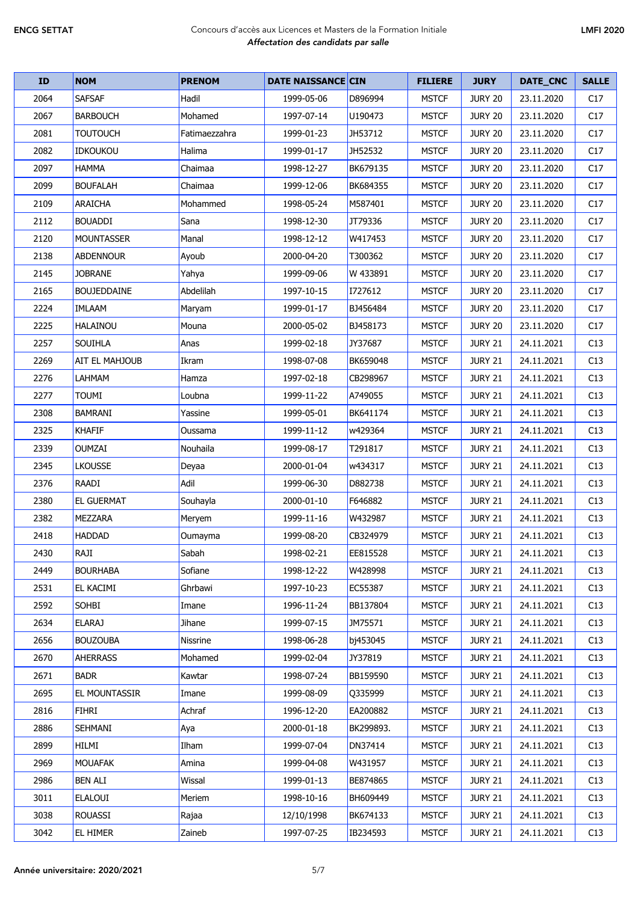| ID   | <b>NOM</b>           | <b>PRENOM</b> | <b>DATE NAISSANCE CIN</b> |           | <b>FILIERE</b> | <b>JURY</b>    | DATE_CNC   | <b>SALLE</b> |
|------|----------------------|---------------|---------------------------|-----------|----------------|----------------|------------|--------------|
| 2064 | <b>SAFSAF</b>        | Hadil         | 1999-05-06                | D896994   | <b>MSTCF</b>   | <b>JURY 20</b> | 23.11.2020 | C17          |
| 2067 | <b>BARBOUCH</b>      | Mohamed       | 1997-07-14                | U190473   | <b>MSTCF</b>   | <b>JURY 20</b> | 23.11.2020 | C17          |
| 2081 | <b>TOUTOUCH</b>      | Fatimaezzahra | 1999-01-23                | JH53712   | <b>MSTCF</b>   | <b>JURY 20</b> | 23.11.2020 | C17          |
| 2082 | <b>IDKOUKOU</b>      | Halima        | 1999-01-17                | JH52532   | <b>MSTCF</b>   | <b>JURY 20</b> | 23.11.2020 | C17          |
| 2097 | <b>HAMMA</b>         | Chaimaa       | 1998-12-27                | BK679135  | <b>MSTCF</b>   | <b>JURY 20</b> | 23.11.2020 | C17          |
| 2099 | <b>BOUFALAH</b>      | Chaimaa       | 1999-12-06                | BK684355  | <b>MSTCF</b>   | <b>JURY 20</b> | 23.11.2020 | C17          |
| 2109 | <b>ARAICHA</b>       | Mohammed      | 1998-05-24                | M587401   | <b>MSTCF</b>   | <b>JURY 20</b> | 23.11.2020 | C17          |
| 2112 | <b>BOUADDI</b>       | Sana          | 1998-12-30                | JT79336   | <b>MSTCF</b>   | <b>JURY 20</b> | 23.11.2020 | C17          |
| 2120 | <b>MOUNTASSER</b>    | Manal         | 1998-12-12                | W417453   | <b>MSTCF</b>   | <b>JURY 20</b> | 23.11.2020 | C17          |
| 2138 | <b>ABDENNOUR</b>     | Ayoub         | 2000-04-20                | T300362   | <b>MSTCF</b>   | <b>JURY 20</b> | 23.11.2020 | C17          |
| 2145 | <b>JOBRANE</b>       | Yahya         | 1999-09-06                | W 433891  | <b>MSTCF</b>   | <b>JURY 20</b> | 23.11.2020 | C17          |
| 2165 | <b>BOUJEDDAINE</b>   | Abdelilah     | 1997-10-15                | I727612   | <b>MSTCF</b>   | <b>JURY 20</b> | 23.11.2020 | C17          |
| 2224 | <b>IMLAAM</b>        | Maryam        | 1999-01-17                | BJ456484  | <b>MSTCF</b>   | <b>JURY 20</b> | 23.11.2020 | C17          |
| 2225 | <b>HALAINOU</b>      | Mouna         | 2000-05-02                | BJ458173  | <b>MSTCF</b>   | <b>JURY 20</b> | 23.11.2020 | C17          |
| 2257 | <b>SOUIHLA</b>       | Anas          | 1999-02-18                | JY37687   | <b>MSTCF</b>   | <b>JURY 21</b> | 24.11.2021 | C13          |
| 2269 | AIT EL MAHJOUB       | Ikram         | 1998-07-08                | BK659048  | <b>MSTCF</b>   | <b>JURY 21</b> | 24.11.2021 | C13          |
| 2276 | LAHMAM               | Hamza         | 1997-02-18                | CB298967  | <b>MSTCF</b>   | <b>JURY 21</b> | 24.11.2021 | C13          |
| 2277 | TOUMI                | Loubna        | 1999-11-22                | A749055   | <b>MSTCF</b>   | <b>JURY 21</b> | 24.11.2021 | C13          |
| 2308 | BAMRANI              | Yassine       | 1999-05-01                | BK641174  | <b>MSTCF</b>   | <b>JURY 21</b> | 24.11.2021 | C13          |
| 2325 | <b>KHAFIF</b>        | Oussama       | 1999-11-12                | w429364   | <b>MSTCF</b>   | <b>JURY 21</b> | 24.11.2021 | C13          |
| 2339 | <b>OUMZAI</b>        | Nouhaila      | 1999-08-17                | T291817   | <b>MSTCF</b>   | <b>JURY 21</b> | 24.11.2021 | C13          |
| 2345 | LKOUSSE              | Deyaa         | 2000-01-04                | w434317   | <b>MSTCF</b>   | <b>JURY 21</b> | 24.11.2021 | C13          |
| 2376 | RAADI                | Adil          | 1999-06-30                | D882738   | <b>MSTCF</b>   | <b>JURY 21</b> | 24.11.2021 | C13          |
| 2380 | <b>EL GUERMAT</b>    | Souhayla      | 2000-01-10                | F646882   | <b>MSTCF</b>   | <b>JURY 21</b> | 24.11.2021 | C13          |
| 2382 | <b>MEZZARA</b>       | Meryem        | 1999-11-16                | W432987   | <b>MSTCF</b>   | <b>JURY 21</b> | 24.11.2021 | C13          |
| 2418 | <b>HADDAD</b>        | Oumayma       | 1999-08-20                | CB324979  | <b>MSTCF</b>   | <b>JURY 21</b> | 24.11.2021 | C13          |
| 2430 | RAJI                 | Sabah         | 1998-02-21                | EE815528  | <b>MSTCF</b>   | <b>JURY 21</b> | 24.11.2021 | C13          |
| 2449 | <b>BOURHABA</b>      | Sofiane       | 1998-12-22                | W428998   | <b>MSTCF</b>   | <b>JURY 21</b> | 24.11.2021 | C13          |
| 2531 | EL KACIMI            | Ghrbawi       | 1997-10-23                | EC55387   | <b>MSTCF</b>   | <b>JURY 21</b> | 24.11.2021 | C13          |
| 2592 | <b>SOHBI</b>         | Imane         | 1996-11-24                | BB137804  | <b>MSTCF</b>   | <b>JURY 21</b> | 24.11.2021 | C13          |
| 2634 | <b>ELARAJ</b>        | Jihane        | 1999-07-15                | JM75571   | <b>MSTCF</b>   | <b>JURY 21</b> | 24.11.2021 | C13          |
| 2656 | <b>BOUZOUBA</b>      | Nissrine      | 1998-06-28                | bj453045  | <b>MSTCF</b>   | <b>JURY 21</b> | 24.11.2021 | C13          |
| 2670 | <b>AHERRASS</b>      | Mohamed       | 1999-02-04                | JY37819   | <b>MSTCF</b>   | <b>JURY 21</b> | 24.11.2021 | C13          |
| 2671 | <b>BADR</b>          | Kawtar        | 1998-07-24                | BB159590  | <b>MSTCF</b>   | <b>JURY 21</b> | 24.11.2021 | C13          |
| 2695 | <b>EL MOUNTASSIR</b> | Imane         | 1999-08-09                | Q335999   | <b>MSTCF</b>   | <b>JURY 21</b> | 24.11.2021 | C13          |
| 2816 | <b>FIHRI</b>         | Achraf        | 1996-12-20                | EA200882  | <b>MSTCF</b>   | <b>JURY 21</b> | 24.11.2021 | C13          |
| 2886 | SEHMANI              | Aya           | 2000-01-18                | BK299893. | <b>MSTCF</b>   | <b>JURY 21</b> | 24.11.2021 | C13          |
| 2899 | <b>HILMI</b>         | Ilham         | 1999-07-04                | DN37414   | <b>MSTCF</b>   | <b>JURY 21</b> | 24.11.2021 | C13          |
| 2969 | <b>MOUAFAK</b>       | Amina         | 1999-04-08                | W431957   | <b>MSTCF</b>   | <b>JURY 21</b> | 24.11.2021 | C13          |
| 2986 | <b>BEN ALI</b>       | Wissal        | 1999-01-13                | BE874865  | <b>MSTCF</b>   | <b>JURY 21</b> | 24.11.2021 | C13          |
| 3011 | <b>ELALOUI</b>       | Meriem        | 1998-10-16                | BH609449  | <b>MSTCF</b>   | <b>JURY 21</b> | 24.11.2021 | C13          |
| 3038 | <b>ROUASSI</b>       | Rajaa         | 12/10/1998                | BK674133  | <b>MSTCF</b>   | <b>JURY 21</b> | 24.11.2021 | C13          |
| 3042 | <b>EL HIMER</b>      | Zaineb        | 1997-07-25                | IB234593  | <b>MSTCF</b>   | <b>JURY 21</b> | 24.11.2021 | C13          |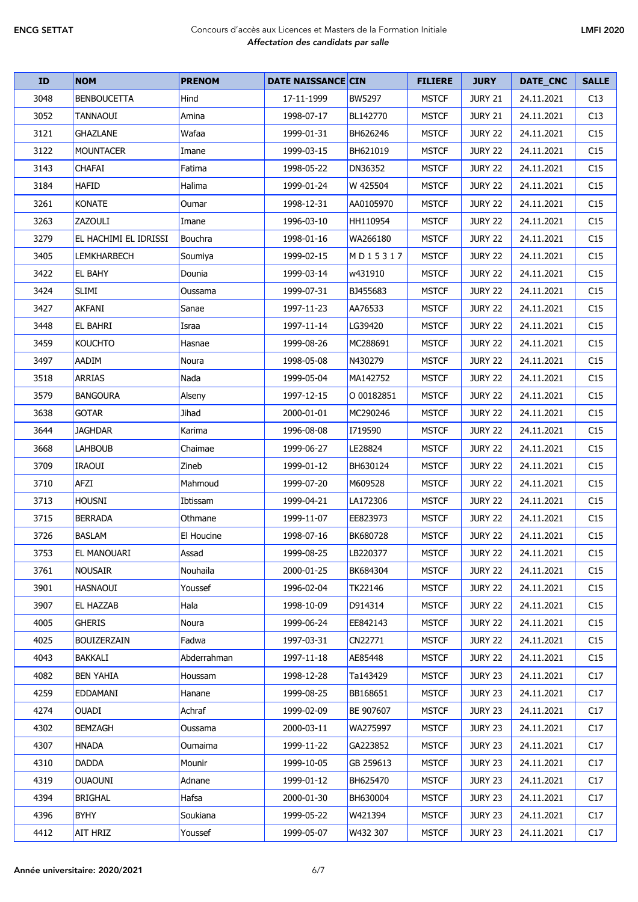| <b>ID</b> | <b>NOM</b>            | <b>PRENOM</b> | <b>DATE NAISSANCE CIN</b> |            | <b>FILIERE</b> | <b>JURY</b>    | DATE_CNC   | <b>SALLE</b>    |
|-----------|-----------------------|---------------|---------------------------|------------|----------------|----------------|------------|-----------------|
| 3048      | <b>BENBOUCETTA</b>    | Hind          | 17-11-1999                | BW5297     | <b>MSTCF</b>   | <b>JURY 21</b> | 24.11.2021 | C13             |
| 3052      | <b>TANNAOUI</b>       | Amina         | 1998-07-17                | BL142770   | <b>MSTCF</b>   | <b>JURY 21</b> | 24.11.2021 | C13             |
| 3121      | <b>GHAZLANE</b>       | Wafaa         | 1999-01-31                | BH626246   | <b>MSTCF</b>   | JURY 22        | 24.11.2021 | C15             |
| 3122      | <b>MOUNTACER</b>      | Imane         | 1999-03-15                | BH621019   | <b>MSTCF</b>   | <b>JURY 22</b> | 24.11.2021 | C15             |
| 3143      | <b>CHAFAI</b>         | Fatima        | 1998-05-22                | DN36352    | <b>MSTCF</b>   | <b>JURY 22</b> | 24.11.2021 | C15             |
| 3184      | <b>HAFID</b>          | Halima        | 1999-01-24                | W 425504   | <b>MSTCF</b>   | <b>JURY 22</b> | 24.11.2021 | C15             |
| 3261      | <b>KONATE</b>         | Oumar         | 1998-12-31                | AA0105970  | <b>MSTCF</b>   | <b>JURY 22</b> | 24.11.2021 | C15             |
| 3263      | ZAZOULI               | Imane         | 1996-03-10                | HH110954   | <b>MSTCF</b>   | <b>JURY 22</b> | 24.11.2021 | C15             |
| 3279      | EL HACHIMI EL IDRISSI | Bouchra       | 1998-01-16                | WA266180   | <b>MSTCF</b>   | <b>JURY 22</b> | 24.11.2021 | C15             |
| 3405      | <b>LEMKHARBECH</b>    | Soumiya       | 1999-02-15                | MD15317    | <b>MSTCF</b>   | <b>JURY 22</b> | 24.11.2021 | C15             |
| 3422      | <b>EL BAHY</b>        | Dounia        | 1999-03-14                | w431910    | <b>MSTCF</b>   | <b>JURY 22</b> | 24.11.2021 | C15             |
| 3424      | <b>SLIMI</b>          | Oussama       | 1999-07-31                | BJ455683   | <b>MSTCF</b>   | <b>JURY 22</b> | 24.11.2021 | C15             |
| 3427      | AKFANI                | Sanae         | 1997-11-23                | AA76533    | <b>MSTCF</b>   | <b>JURY 22</b> | 24.11.2021 | C15             |
| 3448      | EL BAHRI              | Israa         | 1997-11-14                | LG39420    | <b>MSTCF</b>   | <b>JURY 22</b> | 24.11.2021 | C15             |
| 3459      | <b>KOUCHTO</b>        | Hasnae        | 1999-08-26                | MC288691   | <b>MSTCF</b>   | <b>JURY 22</b> | 24.11.2021 | C15             |
| 3497      | AADIM                 | Noura         | 1998-05-08                | N430279    | <b>MSTCF</b>   | <b>JURY 22</b> | 24.11.2021 | C15             |
| 3518      | <b>ARRIAS</b>         | Nada          | 1999-05-04                | MA142752   | <b>MSTCF</b>   | <b>JURY 22</b> | 24.11.2021 | C15             |
| 3579      | <b>BANGOURA</b>       | Alseny        | 1997-12-15                | O 00182851 | <b>MSTCF</b>   | <b>JURY 22</b> | 24.11.2021 | C15             |
| 3638      | <b>GOTAR</b>          | Jihad         | 2000-01-01                | MC290246   | <b>MSTCF</b>   | <b>JURY 22</b> | 24.11.2021 | C15             |
| 3644      | <b>JAGHDAR</b>        | Karima        | 1996-08-08                | I719590    | <b>MSTCF</b>   | <b>JURY 22</b> | 24.11.2021 | C15             |
| 3668      | <b>LAHBOUB</b>        | Chaimae       | 1999-06-27                | LE28824    | <b>MSTCF</b>   | <b>JURY 22</b> | 24.11.2021 | C15             |
| 3709      | <b>IRAOUI</b>         | Zineb         | 1999-01-12                | BH630124   | <b>MSTCF</b>   | <b>JURY 22</b> | 24.11.2021 | C15             |
| 3710      | AFZI                  | Mahmoud       | 1999-07-20                | M609528    | <b>MSTCF</b>   | <b>JURY 22</b> | 24.11.2021 | C15             |
| 3713      | <b>HOUSNI</b>         | Ibtissam      | 1999-04-21                | LA172306   | <b>MSTCF</b>   | <b>JURY 22</b> | 24.11.2021 | C15             |
| 3715      | <b>BERRADA</b>        | Othmane       | 1999-11-07                | EE823973   | <b>MSTCF</b>   | <b>JURY 22</b> | 24.11.2021 | C15             |
| 3726      | <b>BASLAM</b>         | El Houcine    | 1998-07-16                | BK680728   | <b>MSTCF</b>   | <b>JURY 22</b> | 24.11.2021 | C15             |
| 3753      | EL MANOUARI           | Assad         | 1999-08-25                | LB220377   | <b>MSTCF</b>   | <b>JURY 22</b> | 24.11.2021 | C <sub>15</sub> |
| 3761      | <b>NOUSAIR</b>        | Nouhaila      | 2000-01-25                | BK684304   | <b>MSTCF</b>   | <b>JURY 22</b> | 24.11.2021 | C15             |
| 3901      | <b>HASNAOUI</b>       | Youssef       | 1996-02-04                | TK22146    | <b>MSTCF</b>   | JURY 22        | 24.11.2021 | C15             |
| 3907      | EL HAZZAB             | Hala          | 1998-10-09                | D914314    | <b>MSTCF</b>   | <b>JURY 22</b> | 24.11.2021 | C <sub>15</sub> |
| 4005      | <b>GHERIS</b>         | Noura         | 1999-06-24                | EE842143   | <b>MSTCF</b>   | <b>JURY 22</b> | 24.11.2021 | C15             |
| 4025      | <b>BOUIZERZAIN</b>    | Fadwa         | 1997-03-31                | CN22771    | <b>MSTCF</b>   | <b>JURY 22</b> | 24.11.2021 | C15             |
| 4043      | BAKKALI               | Abderrahman   | 1997-11-18                | AE85448    | <b>MSTCF</b>   | JURY 22        | 24.11.2021 | C15             |
| 4082      | <b>BEN YAHIA</b>      | Houssam       | 1998-12-28                | Ta143429   | <b>MSTCF</b>   | <b>JURY 23</b> | 24.11.2021 | C17             |
| 4259      | EDDAMANI              | Hanane        | 1999-08-25                | BB168651   | <b>MSTCF</b>   | <b>JURY 23</b> | 24.11.2021 | C17             |
| 4274      | OUADI                 | Achraf        | 1999-02-09                | BE 907607  | <b>MSTCF</b>   | JURY 23        | 24.11.2021 | C17             |
| 4302      | BEMZAGH               | Oussama       | 2000-03-11                | WA275997   | <b>MSTCF</b>   | <b>JURY 23</b> | 24.11.2021 | C <sub>17</sub> |
| 4307      | HNADA                 | Oumaima       | 1999-11-22                | GA223852   | <b>MSTCF</b>   | JURY 23        | 24.11.2021 | C17             |
| 4310      | <b>DADDA</b>          | Mounir        | 1999-10-05                | GB 259613  | <b>MSTCF</b>   | JURY 23        | 24.11.2021 | C17             |
| 4319      | <b>OUAOUNI</b>        | Adnane        | 1999-01-12                | BH625470   | <b>MSTCF</b>   | JURY 23        | 24.11.2021 | C17             |
| 4394      | <b>BRIGHAL</b>        | Hafsa         | 2000-01-30                | BH630004   | <b>MSTCF</b>   | <b>JURY 23</b> | 24.11.2021 | C17             |
| 4396      | <b>BYHY</b>           | Soukiana      | 1999-05-22                | W421394    | <b>MSTCF</b>   | <b>JURY 23</b> | 24.11.2021 | C17             |
| 4412      | AIT HRIZ              | Youssef       | 1999-05-07                | W432 307   | <b>MSTCF</b>   | JURY 23        | 24.11.2021 | C17             |